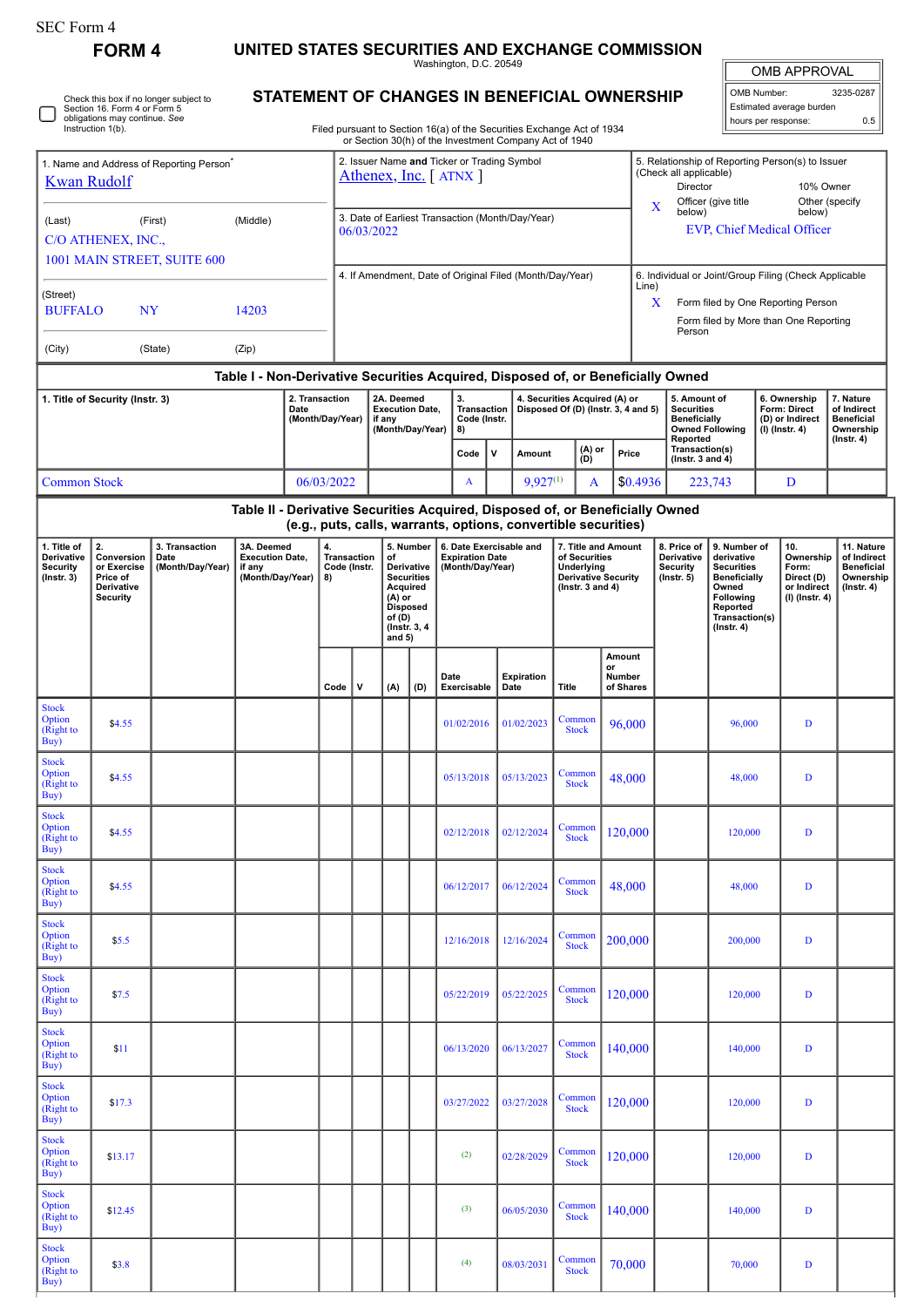$\Box$ 

**FORM 4 UNITED STATES SECURITIES AND EXCHANGE COMMISSION**

Washington, D.C. 20549

OMB APPROVAL OMB Number: 3235-0287 Estimated average burden hours per response: 0.5

## **STATEMENT OF CHANGES IN BENEFICIAL OWNERSHIP**

Filed pursuant to Section 16(a) of the Securities Exchange Act of 1934 or Section 30(h) of the Investment Company Act of 1940

| 1. Name and Address of Reporting Person<br><b>Kwan Rudolf</b>                      |                                                                                                                                                                                                  |         |                                                |                                                |            | 2. Issuer Name and Ticker or Trading Symbol<br>Athenex, Inc. [ ATNX ] |                                                                                                                                     |                                                                                                                                                          |                                                                                                                                                 |             |                                                          |                                                                                                          |    |                                                                          | 5. Relationship of Reporting Person(s) to Issuer<br>(Check all applicable)<br>Director<br>10% Owner<br>Officer (give title<br>Other (specify<br>X<br>below)<br>below)<br><b>EVP, Chief Medical Officer</b> |                                                                                                                                                |   |                                                                          |                                                                                 |  |
|------------------------------------------------------------------------------------|--------------------------------------------------------------------------------------------------------------------------------------------------------------------------------------------------|---------|------------------------------------------------|------------------------------------------------|------------|-----------------------------------------------------------------------|-------------------------------------------------------------------------------------------------------------------------------------|----------------------------------------------------------------------------------------------------------------------------------------------------------|-------------------------------------------------------------------------------------------------------------------------------------------------|-------------|----------------------------------------------------------|----------------------------------------------------------------------------------------------------------|----|--------------------------------------------------------------------------|------------------------------------------------------------------------------------------------------------------------------------------------------------------------------------------------------------|------------------------------------------------------------------------------------------------------------------------------------------------|---|--------------------------------------------------------------------------|---------------------------------------------------------------------------------|--|
| (Last)<br>(First)<br>(Middle)<br>C/O ATHENEX, INC.,<br>1001 MAIN STREET, SUITE 600 |                                                                                                                                                                                                  |         |                                                |                                                |            | 3. Date of Earliest Transaction (Month/Day/Year)<br>06/03/2022        |                                                                                                                                     |                                                                                                                                                          |                                                                                                                                                 |             |                                                          |                                                                                                          |    |                                                                          |                                                                                                                                                                                                            |                                                                                                                                                |   |                                                                          |                                                                                 |  |
| (Street)                                                                           |                                                                                                                                                                                                  |         |                                                |                                                |            | 4. If Amendment, Date of Original Filed (Month/Day/Year)              |                                                                                                                                     |                                                                                                                                                          |                                                                                                                                                 |             |                                                          |                                                                                                          |    |                                                                          | 6. Individual or Joint/Group Filing (Check Applicable<br>Line)<br>Form filed by One Reporting Person<br>X                                                                                                  |                                                                                                                                                |   |                                                                          |                                                                                 |  |
| <b>BUFFALO</b><br>NY<br>14203                                                      |                                                                                                                                                                                                  |         |                                                |                                                |            |                                                                       |                                                                                                                                     |                                                                                                                                                          |                                                                                                                                                 |             |                                                          |                                                                                                          |    |                                                                          | Form filed by More than One Reporting<br>Person                                                                                                                                                            |                                                                                                                                                |   |                                                                          |                                                                                 |  |
| (City)                                                                             |                                                                                                                                                                                                  | (State) | (Zip)                                          |                                                |            |                                                                       |                                                                                                                                     |                                                                                                                                                          |                                                                                                                                                 |             |                                                          |                                                                                                          |    |                                                                          |                                                                                                                                                                                                            |                                                                                                                                                |   |                                                                          |                                                                                 |  |
| 1. Title of Security (Instr. 3)                                                    | 2. Transaction<br>(Month/Day/Year)                                                                                                                                                               |         | 2A. Deemed<br><b>Execution Date,</b><br>if any |                                                | 3.         | <b>Transaction</b><br>Code (Instr.                                    |                                                                                                                                     | Table I - Non-Derivative Securities Acquired, Disposed of, or Beneficially Owned<br>4. Securities Acquired (A) or<br>Disposed Of (D) (Instr. 3, 4 and 5) |                                                                                                                                                 |             | 5. Amount of<br><b>Securities</b><br><b>Beneficially</b> |                                                                                                          |    | 6. Ownership<br>Form: Direct<br>(D) or Indirect                          | 7. Nature<br>of Indirect<br><b>Beneficial</b>                                                                                                                                                              |                                                                                                                                                |   |                                                                          |                                                                                 |  |
|                                                                                    |                                                                                                                                                                                                  |         |                                                |                                                |            | (Month/Day/Year)                                                      |                                                                                                                                     |                                                                                                                                                          | 8)<br>Code                                                                                                                                      | v<br>Amount |                                                          | (A) or<br>Price<br>(D)                                                                                   |    | <b>Owned Following</b><br>Reported<br>Transaction(s)<br>(Instr. 3 and 4) |                                                                                                                                                                                                            | (I) (Instr. 4)                                                                                                                                 |   | Ownership<br>$($ Instr. 4 $)$                                            |                                                                                 |  |
| <b>Common Stock</b>                                                                |                                                                                                                                                                                                  |         |                                                |                                                | 06/03/2022 |                                                                       |                                                                                                                                     |                                                                                                                                                          | A                                                                                                                                               |             | $9,927^{(1)}$                                            |                                                                                                          | A  | \$0.4936                                                                 |                                                                                                                                                                                                            | 223,743                                                                                                                                        | D |                                                                          |                                                                                 |  |
|                                                                                    |                                                                                                                                                                                                  |         |                                                |                                                |            |                                                                       |                                                                                                                                     |                                                                                                                                                          | Table II - Derivative Securities Acquired, Disposed of, or Beneficially Owned<br>(e.g., puts, calls, warrants, options, convertible securities) |             |                                                          |                                                                                                          |    |                                                                          |                                                                                                                                                                                                            |                                                                                                                                                |   |                                                                          |                                                                                 |  |
| 1. Title of<br>Derivative<br><b>Security</b><br>$($ Instr. 3 $)$                   | 2.<br>3A. Deemed<br>3. Transaction<br>Conversion<br><b>Execution Date,</b><br>Date<br>or Exercise<br>(Month/Day/Year)<br>if any<br>(Month/Day/Year)<br>Price of<br>Derivative<br><b>Security</b> |         |                                                | 4.<br><b>Transaction</b><br>Code (Instr.<br>8) |            |                                                                       | 5. Number<br>of<br>Derivative<br><b>Securities</b><br>Acquired<br>(A) or<br><b>Disposed</b><br>of $(D)$<br>(Instr. 3, 4<br>and $5)$ |                                                                                                                                                          | 6. Date Exercisable and<br><b>Expiration Date</b><br>(Month/Day/Year)                                                                           |             |                                                          | 7. Title and Amount<br>of Securities<br>Underlying<br><b>Derivative Security</b><br>( $lnstr. 3 and 4$ ) |    |                                                                          | 8. Price of<br>Derivative<br>Security<br>$($ lnstr. 5 $)$                                                                                                                                                  | 9. Number of<br>derivative<br><b>Securities</b><br><b>Beneficially</b><br>Owned<br>Following<br>Reported<br>Transaction(s)<br>$($ Instr. 4 $)$ |   | 10.<br>Ownership<br>Form:<br>Direct (D)<br>or Indirect<br>(I) (Instr. 4) | 11. Nature<br>of Indirect<br><b>Beneficial</b><br>Ownership<br>$($ lnstr. 4 $)$ |  |
|                                                                                    |                                                                                                                                                                                                  |         |                                                |                                                | Code       | v                                                                     | (A)                                                                                                                                 | (D)                                                                                                                                                      | Date<br>Exercisable                                                                                                                             |             | <b>Expiration</b><br>Date                                | Title                                                                                                    | or | Amount<br>Number<br>of Shares                                            |                                                                                                                                                                                                            |                                                                                                                                                |   |                                                                          |                                                                                 |  |
| <b>Stock</b><br>Option<br>(Right to<br>Buy)                                        | \$4.55                                                                                                                                                                                           |         |                                                |                                                |            |                                                                       |                                                                                                                                     |                                                                                                                                                          | 01/02/2016                                                                                                                                      |             | 01/02/2023                                               | Common<br><b>Stock</b>                                                                                   |    | 96,000                                                                   |                                                                                                                                                                                                            | 96,000                                                                                                                                         |   | D                                                                        |                                                                                 |  |
| <b>Stock</b><br>Option<br>(Right to<br>Buy)                                        | \$4.55                                                                                                                                                                                           |         |                                                |                                                |            |                                                                       |                                                                                                                                     |                                                                                                                                                          | 05/13/2018                                                                                                                                      |             | 05/13/2023                                               | Common<br><b>Stock</b>                                                                                   |    | 48,000                                                                   |                                                                                                                                                                                                            | 48,000                                                                                                                                         |   | D                                                                        |                                                                                 |  |
| <b>Stock</b><br>Option<br>(Right to<br>$\overline{Buy}$                            | \$4.55                                                                                                                                                                                           |         |                                                |                                                |            |                                                                       |                                                                                                                                     |                                                                                                                                                          | 02/12/2018                                                                                                                                      |             | 02/12/2024                                               | Common<br><b>Stock</b>                                                                                   |    | 120,000                                                                  |                                                                                                                                                                                                            | 120,000                                                                                                                                        |   | D                                                                        |                                                                                 |  |
| <b>Stock</b><br>Option<br>(Right to<br>Buy)                                        | \$4.55                                                                                                                                                                                           |         |                                                |                                                |            |                                                                       |                                                                                                                                     |                                                                                                                                                          | 06/12/2017                                                                                                                                      |             | 06/12/2024                                               | Common<br><b>Stock</b>                                                                                   |    | 48,000                                                                   |                                                                                                                                                                                                            | 48,000                                                                                                                                         |   | D                                                                        |                                                                                 |  |
| <b>Stock</b><br>Option<br>(Right to<br>Buy)                                        | \$5.5                                                                                                                                                                                            |         |                                                |                                                |            |                                                                       |                                                                                                                                     |                                                                                                                                                          | 12/16/2018                                                                                                                                      |             | 12/16/2024                                               | Common<br><b>Stock</b>                                                                                   |    | 200,000                                                                  |                                                                                                                                                                                                            | 200,000                                                                                                                                        |   | $\mathbf D$                                                              |                                                                                 |  |
| <b>Stock</b><br>Option<br>(Right to<br>Buy)                                        | \$7.5                                                                                                                                                                                            |         |                                                |                                                |            |                                                                       |                                                                                                                                     |                                                                                                                                                          | 05/22/2019                                                                                                                                      |             | 05/22/2025                                               | Common<br><b>Stock</b>                                                                                   |    | 120,000                                                                  |                                                                                                                                                                                                            | 120,000                                                                                                                                        |   | $\mathbf D$                                                              |                                                                                 |  |
| <b>Stock</b><br>Option<br>(Right to<br>Buy)                                        | \$11                                                                                                                                                                                             |         |                                                |                                                |            |                                                                       |                                                                                                                                     |                                                                                                                                                          | 06/13/2020                                                                                                                                      |             | 06/13/2027                                               | Common<br><b>Stock</b>                                                                                   |    | 140,000                                                                  |                                                                                                                                                                                                            | 140,000                                                                                                                                        |   | D                                                                        |                                                                                 |  |
| <b>Stock</b><br>Option<br>(Right to<br>Buy)                                        | \$17.3                                                                                                                                                                                           |         |                                                |                                                |            |                                                                       |                                                                                                                                     |                                                                                                                                                          | 03/27/2022                                                                                                                                      |             | 03/27/2028                                               | Common<br><b>Stock</b>                                                                                   |    | 120,000                                                                  |                                                                                                                                                                                                            | 120,000                                                                                                                                        |   | D                                                                        |                                                                                 |  |
| <b>Stock</b><br>Option<br>(Right to<br>Buy)                                        | \$13.17                                                                                                                                                                                          |         |                                                |                                                |            |                                                                       |                                                                                                                                     |                                                                                                                                                          | (2)                                                                                                                                             |             | 02/28/2029                                               | Common<br><b>Stock</b>                                                                                   |    | 120,000                                                                  |                                                                                                                                                                                                            | 120,000                                                                                                                                        |   | D                                                                        |                                                                                 |  |
| <b>Stock</b><br>Option<br>(Right to<br>Buy)                                        | \$12.45                                                                                                                                                                                          |         |                                                |                                                |            |                                                                       |                                                                                                                                     |                                                                                                                                                          | (3)                                                                                                                                             |             | 06/05/2030                                               | Common<br><b>Stock</b>                                                                                   |    | 140,000                                                                  |                                                                                                                                                                                                            | 140,000                                                                                                                                        |   | $\mathbf D$                                                              |                                                                                 |  |
| <b>Stock</b><br>Option<br>(Right to<br>Buy)                                        | \$3.8                                                                                                                                                                                            |         |                                                |                                                |            |                                                                       |                                                                                                                                     |                                                                                                                                                          | (4)                                                                                                                                             |             | 08/03/2031                                               | Common<br><b>Stock</b>                                                                                   |    | 70,000                                                                   |                                                                                                                                                                                                            | 70,000                                                                                                                                         |   | $\mathbf D$                                                              |                                                                                 |  |